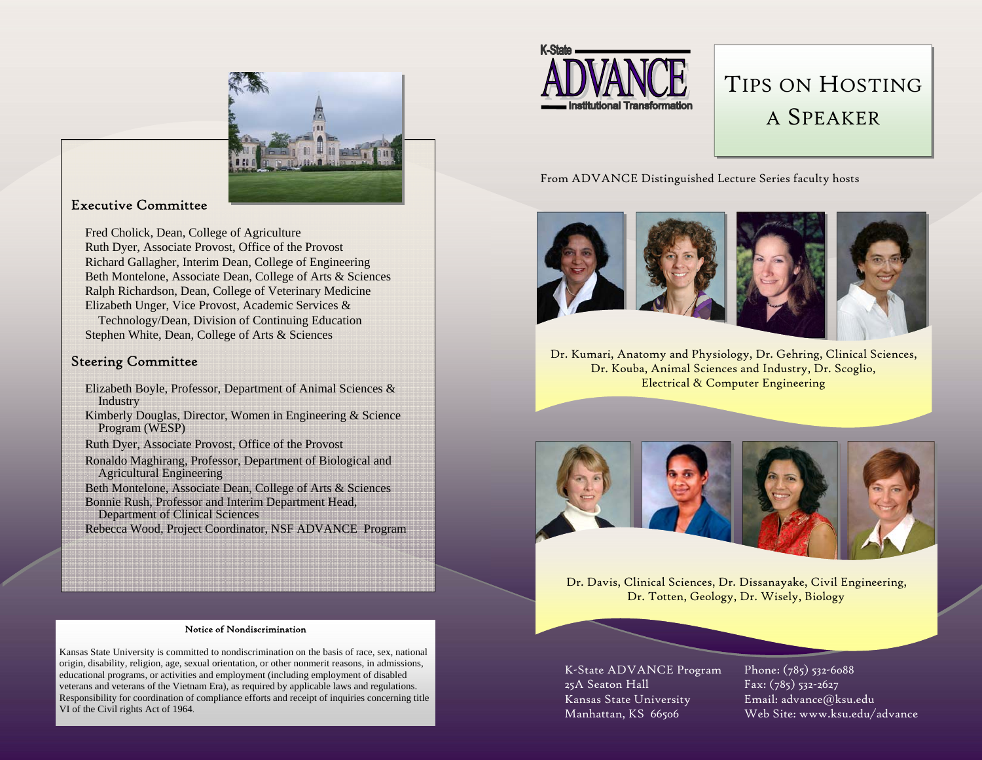

#### Executive Committee

Fred Cholick, Dean, College of Agriculture Ruth Dyer, Associate Provost, Office of the Provost Richard Gallagher, Interim Dean, College of Engineering Beth Montelone, Associate Dean, College of Arts & Sciences Ralph Richardson, Dean, College of Veterinary Medicine Elizabeth Unger, Vice Provost, Academic Services & Technology/Dean, Division of Continuing Education

Stephen White, Dean, College of Arts & Sciences

#### Steering Committee

- Elizabeth Boyle, Professor, Department of Animal Sciences & Industry
- Kimberly Douglas, Director, Women in Engineering & Science Program (WESP)

Ruth Dyer, Associate Provost, Office of the Provost

- Ronaldo Maghirang, Professor, Department of Biological and Agricultural Engineering
- Beth Montelone, Associate Dean, College of Arts & Sciences Bonnie Rush, Professor and Interim Department Head,

Department of Clinical Sciences

Rebecca Wood, Project Coordinator, NSF ADVANCE Program



Kansas State University is committed to nondiscrimination on the basis of race, sex, national origin, disability, religion, age, sexual orientation, or other nonmerit reasons, in admissions, educational programs, or activities and employment (including employment of disabled veterans and veterans of the Vietnam Era), as required by applicable laws and regulations. Responsibility for coordination of compliance efforts and receipt of inquiries concerning title VI of the Civil rights Act of 1964.



### TIPS ON HOSTINGA SPEAKER

From ADVANCE Distinguished Lecture Series faculty hosts



Dr. Kumari, Anatomy and Physiology, Dr. Gehring, Clinical Sciences, Dr. Kouba, Animal Sciences and Industry, Dr. Scoglio, Electrical & Computer Engineering



Dr. Davis, Clinical Sciences, Dr. Dissanayake, Civil Engineering, Dr. Totten, Geology, Dr. Wisely, Biology

K-State ADVANCE Program 25A Seaton Hall Kansas State University Manhattan, KS 66506

Phone: (785) 532-6088 Fax: (785) 532-2627 Email: advance@ksu.edu Web Site: www.ksu.edu/advance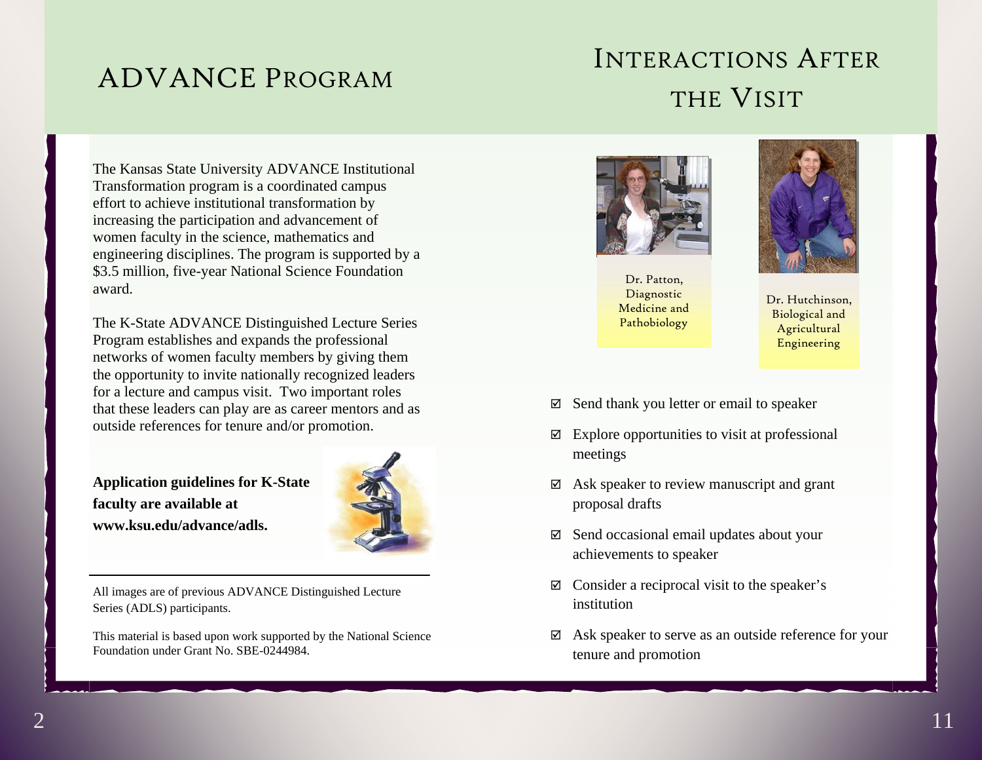## ADVANCE PROGRAM

## INTERACTIONS AFTERTHE VISIT

The Kansas State University ADVANCE Institutional Transformation program is a coordinated campus effort to achieve institutional transformation by increasing the participation and advancement of women faculty in the science, mathematics and engineering disciplines. The program is supported by a \$3.5 million, five-year National Science Foundation award.

The K-State ADVANCE Distinguished Lecture Series Program establishes and expands the professional networks of women faculty members by giving them the opportunity to invite nationally recognized leaders for a lecture and campus visit. Two important roles that these leaders can play are as career mentors and as outside references for tenure and/or promotion.

**Application guidelines for K-State faculty are available at www.ksu.edu/advance/adls.** 



All images are of previous ADVANCE Distinguished Lecture Series (ADLS) participants.

This material is based upon work supported by the National Science Foundation under Grant No. SBE-0244984.



Dr. Patton, Diagnostic Medicine and Pathobiology



Dr. Hutchinson, Biological and Agricultural Engineering

- $\boxtimes$  Send thank you letter or email to speaker
- $\boxtimes$  Explore opportunities to visit at professional meetings
- $\boxtimes$  Ask speaker to review manuscript and grant proposal drafts
- $\boxtimes$  Send occasional email updates about your achievements to speaker
- $\boxtimes$  Consider a reciprocal visit to the speaker's institution
- $\boxtimes$  Ask speaker to serve as an outside reference for your tenure and promotion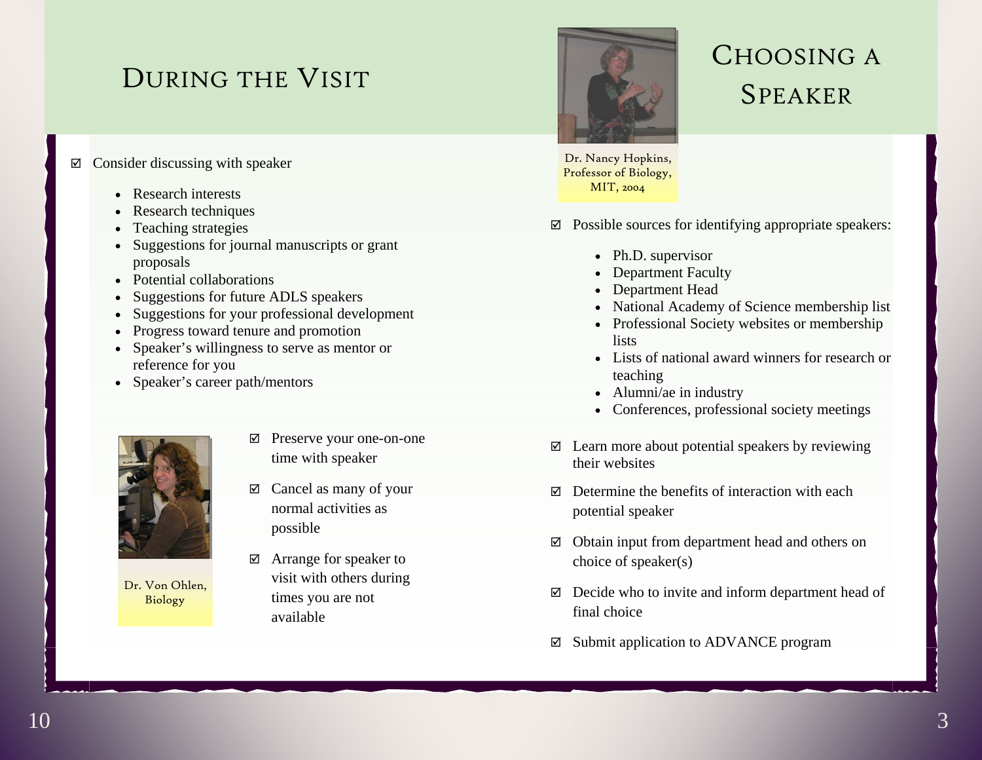## DURING THE VISIT

### $\boxtimes$  Consider discussing with speaker

- Research interests
- Research techniques
- Teaching strategies
- Suggestions for journal manuscripts or grant proposals
- Potential collaborations
- Suggestions for future ADLS speakers
- Suggestions for your professional development
- Progress toward tenure and promotion
- Speaker's willingness to serve as mentor or reference for you
- Speaker's career path/mentors



Dr. Von Ohlen, Biology

- ; Preserve your one-on-one time with speaker
- $\boxtimes$  Cancel as many of your normal activities as possible
- $\boxtimes$  Arrange for speaker to visit with others during times you are not available



# CHOOSING A SPEAKER

Dr. Nancy Hopkins, Professor of Biology, MIT, 2004

- $\boxtimes$  Possible sources for identifying appropriate speakers:
	- Ph.D. supervisor
	- Department Faculty
	- Department Head
	- National Academy of Science membership list
	- Professional Society websites or membership lists
	- Lists of national award winners for research or teaching
	- Alumni/ae in industry
	- Conferences, professional society meetings
- $\boxtimes$  Learn more about potential speakers by reviewing their websites
- $\boxtimes$  Determine the benefits of interaction with each potential speaker
- $\boxtimes$  Obtain input from department head and others on choice of speaker(s)
- $\boxtimes$  Decide who to invite and inform department head of final choice
- $\boxtimes$  Submit application to ADVANCE program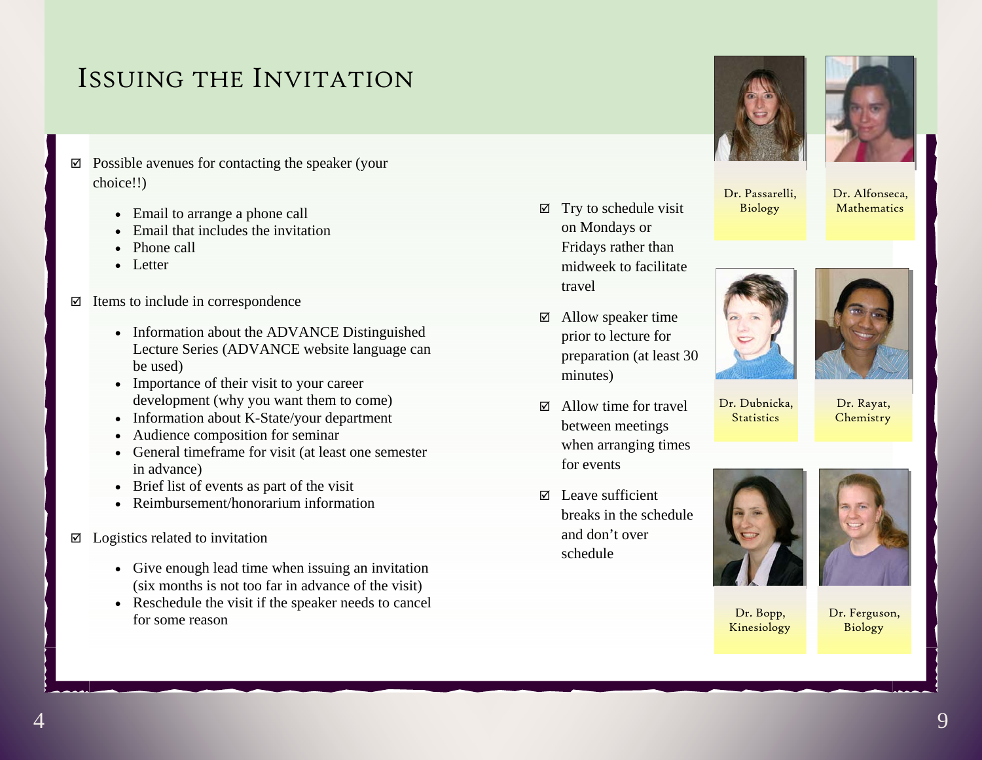### ISSUING THE INVITATION

- $\boxtimes$  Possible avenues for contacting the speaker (your choice!!)
	- Email to arrange a phone call
	- Email that includes the invitation
	- Phone call
	- Letter
- $\boxtimes$  Items to include in correspondence
	- Information about the ADVANCE Distinguished Lecture Series (ADVANCE website language can be used)
	- Importance of their visit to your career development (why you want them to come)
	- Information about K-State/your department
	- Audience composition for seminar
	- General timeframe for visit (at least one semester in advance)
	- Brief list of events as part of the visit
	- Reimbursement/honorarium information
- $\boxtimes$  Logistics related to invitation
	- Give enough lead time when issuing an invitation (six months is not too far in advance of the visit)
	- Reschedule the visit if the speaker needs to cancel for some reason





Dr. Alfonseca, Mathematics

Dr. Passarelli, Biology

 $\boxtimes$  Try to schedule visit on Mondays or Fridays rather than midweek to facilitate

 $\boxtimes$  Allow speaker time prior to lecture for preparation (at least 30

 $\boxtimes$  Allow time for travel between meetings when arranging times

travel

minutes)

for events

schedule

 $\boxtimes$  Leave sufficient

and don't over

breaks in the schedule





Dr. Rayat, **Chemistry** 

Dr. Dubnicka, **Statistics** 





Dr. Bopp, Kinesiology

Dr. Ferguson, Biology

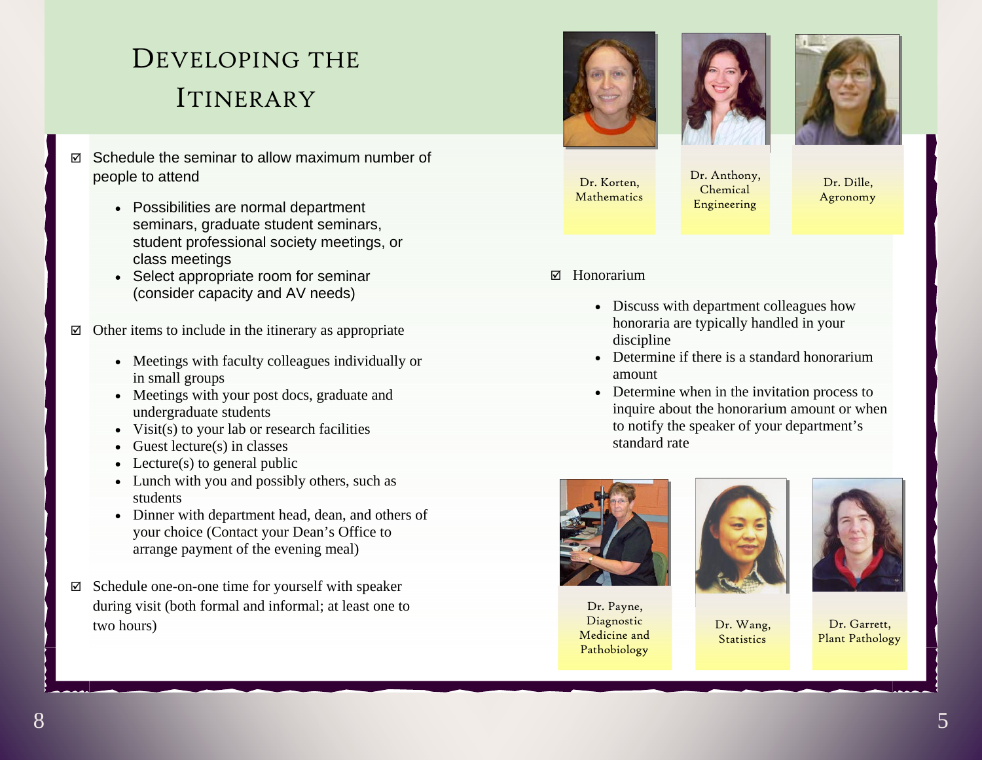# DEVELOPING THE ITINERARY

- $\boxtimes$  Schedule the seminar to allow maximum number of people to attend
	- Possibilities are normal department seminars, graduate student seminars, student professional society meetings, or class meetings
	- Select appropriate room for seminar (consider capacity and AV needs)
- $\boxtimes$  Other items to include in the itinerary as appropriate
	- Meetings with faculty colleagues individually or in small groups
	- Meetings with your post docs, graduate and undergraduate students
	- Visit(s) to your lab or research facilities
	- Guest lecture(s) in classes
	- Lecture $(s)$  to general public
	- Lunch with you and possibly others, such as students
	- Dinner with department head, dean, and others of your choice (Contact your Dean's Office to arrange payment of the evening meal)
- $\boxtimes$  Schedule one-on-one time for yourself with speaker during visit (both formal and informal; at least one to two hours)







Dr. Korten, Mathematics Dr. Anthony, Chemical Engineering

Dr. Dille, Agronomy

- $\nabla$  Honorarium
	- Discuss with department colleagues how honoraria are typically handled in your discipline
	- Determine if there is a standard honorarium amount
	- Determine when in the invitation process to inquire about the honorarium amount or when to notify the speaker of your department's standard rate



Dr. Payne, Diagnostic Medicine and Pathobiology



Dr. Wang, **Statistics** 



Dr. Garrett, Plant Pathology